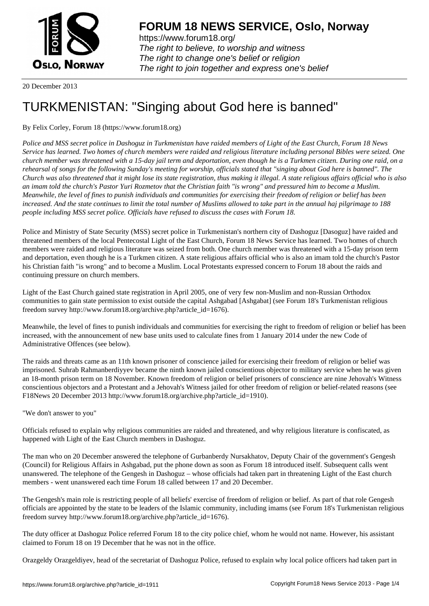

https://www.forum18.org/ The right to believe, to worship and witness The right to change one's belief or religion [The right to join together a](https://www.forum18.org/)nd express one's belief

20 December 2013

# [TURKMENISTA](https://www.forum18.org)N: "Singing about God here is banned"

# By Felix Corley, Forum 18 (https://www.forum18.org)

*Police and MSS secret police in Dashoguz in Turkmenistan have raided members of Light of the East Church, Forum 18 News Service has learned. Two homes of church members were raided and religious literature including personal Bibles were seized. One church member was threatened with a 15-day jail term and deportation, even though he is a Turkmen citizen. During one raid, on a rehearsal of songs for the following Sunday's meeting for worship, officials stated that "singing about God here is banned". The Church was also threatened that it might lose its state registration, thus making it illegal. A state religious affairs official who is also an imam told the church's Pastor Yuri Rozmetov that the Christian faith "is wrong" and pressured him to become a Muslim. Meanwhile, the level of fines to punish individuals and communities for exercising their freedom of religion or belief has been increased. And the state continues to limit the total number of Muslims allowed to take part in the annual haj pilgrimage to 188 people including MSS secret police. Officials have refused to discuss the cases with Forum 18.*

Police and Ministry of State Security (MSS) secret police in Turkmenistan's northern city of Dashoguz [Dasoguz] have raided and threatened members of the local Pentecostal Light of the East Church, Forum 18 News Service has learned. Two homes of church members were raided and religious literature was seized from both. One church member was threatened with a 15-day prison term and deportation, even though he is a Turkmen citizen. A state religious affairs official who is also an imam told the church's Pastor his Christian faith "is wrong" and to become a Muslim. Local Protestants expressed concern to Forum 18 about the raids and continuing pressure on church members.

Light of the East Church gained state registration in April 2005, one of very few non-Muslim and non-Russian Orthodox communities to gain state permission to exist outside the capital Ashgabad [Ashgabat] (see Forum 18's Turkmenistan religious freedom survey http://www.forum18.org/archive.php?article\_id=1676).

Meanwhile, the level of fines to punish individuals and communities for exercising the right to freedom of religion or belief has been increased, with the announcement of new base units used to calculate fines from 1 January 2014 under the new Code of Administrative Offences (see below).

The raids and threats came as an 11th known prisoner of conscience jailed for exercising their freedom of religion or belief was imprisoned. Suhrab Rahmanberdiyyev became the ninth known jailed conscientious objector to military service when he was given an 18-month prison term on 18 November. Known freedom of religion or belief prisoners of conscience are nine Jehovah's Witness conscientious objectors and a Protestant and a Jehovah's Witness jailed for other freedom of religion or belief-related reasons (see F18News 20 December 2013 http://www.forum18.org/archive.php?article\_id=1910).

"We don't answer to you"

Officials refused to explain why religious communities are raided and threatened, and why religious literature is confiscated, as happened with Light of the East Church members in Dashoguz.

The man who on 20 December answered the telephone of Gurbanberdy Nursakhatov, Deputy Chair of the government's Gengesh (Council) for Religious Affairs in Ashgabad, put the phone down as soon as Forum 18 introduced itself. Subsequent calls went unanswered. The telephone of the Gengesh in Dashoguz – whose officials had taken part in threatening Light of the East church members - went unanswered each time Forum 18 called between 17 and 20 December.

The Gengesh's main role is restricting people of all beliefs' exercise of freedom of religion or belief. As part of that role Gengesh officials are appointed by the state to be leaders of the Islamic community, including imams (see Forum 18's Turkmenistan religious freedom survey http://www.forum18.org/archive.php?article\_id=1676).

The duty officer at Dashoguz Police referred Forum 18 to the city police chief, whom he would not name. However, his assistant claimed to Forum 18 on 19 December that he was not in the office.

Orazgeldy Orazgeldiyev, head of the secretariat of Dashoguz Police, refused to explain why local police officers had taken part in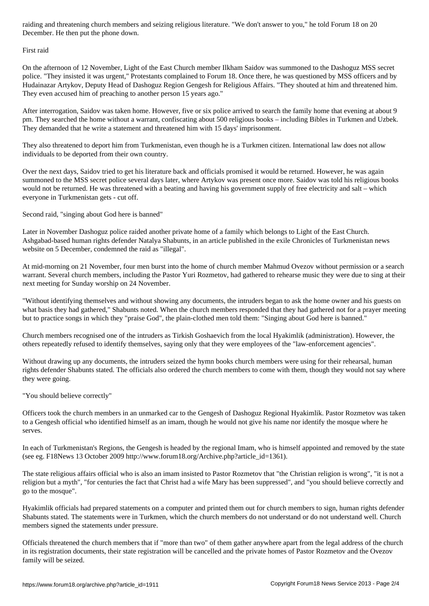#### First raid

On the afternoon of 12 November, Light of the East Church member Ilkham Saidov was summoned to the Dashoguz MSS secret police. "They insisted it was urgent," Protestants complained to Forum 18. Once there, he was questioned by MSS officers and by Hudainazar Artykov, Deputy Head of Dashoguz Region Gengesh for Religious Affairs. "They shouted at him and threatened him. They even accused him of preaching to another person 15 years ago."

After interrogation, Saidov was taken home. However, five or six police arrived to search the family home that evening at about 9 pm. They searched the home without a warrant, confiscating about 500 religious books – including Bibles in Turkmen and Uzbek. They demanded that he write a statement and threatened him with 15 days' imprisonment.

They also threatened to deport him from Turkmenistan, even though he is a Turkmen citizen. International law does not allow individuals to be deported from their own country.

Over the next days, Saidov tried to get his literature back and officials promised it would be returned. However, he was again summoned to the MSS secret police several days later, where Artykov was present once more. Saidov was told his religious books would not be returned. He was threatened with a beating and having his government supply of free electricity and salt – which everyone in Turkmenistan gets - cut off.

Second raid, "singing about God here is banned"

Later in November Dashoguz police raided another private home of a family which belongs to Light of the East Church. Ashgabad-based human rights defender Natalya Shabunts, in an article published in the exile Chronicles of Turkmenistan news website on 5 December, condemned the raid as "illegal".

At mid-morning on 21 November, four men burst into the home of church member Mahmud Ovezov without permission or a search warrant. Several church members, including the Pastor Yuri Rozmetov, had gathered to rehearse music they were due to sing at their next meeting for Sunday worship on 24 November.

"Without identifying themselves and without showing any documents, the intruders began to ask the home owner and his guests on what basis they had gathered," Shabunts noted. When the church members responded that they had gathered not for a prayer meeting but to practice songs in which they "praise God", the plain-clothed men told them: "Singing about God here is banned."

Church members recognised one of the intruders as Tirkish Goshaevich from the local Hyakimlik (administration). However, the others repeatedly refused to identify themselves, saying only that they were employees of the "law-enforcement agencies".

Without drawing up any documents, the intruders seized the hymn books church members were using for their rehearsal, human rights defender Shabunts stated. The officials also ordered the church members to come with them, though they would not say where they were going.

"You should believe correctly"

Officers took the church members in an unmarked car to the Gengesh of Dashoguz Regional Hyakimlik. Pastor Rozmetov was taken to a Gengesh official who identified himself as an imam, though he would not give his name nor identify the mosque where he serves.

In each of Turkmenistan's Regions, the Gengesh is headed by the regional Imam, who is himself appointed and removed by the state (see eg. F18News 13 October 2009 http://www.forum18.org/Archive.php?article\_id=1361).

The state religious affairs official who is also an imam insisted to Pastor Rozmetov that "the Christian religion is wrong", "it is not a religion but a myth", "for centuries the fact that Christ had a wife Mary has been suppressed", and "you should believe correctly and go to the mosque".

Hyakimlik officials had prepared statements on a computer and printed them out for church members to sign, human rights defender Shabunts stated. The statements were in Turkmen, which the church members do not understand or do not understand well. Church members signed the statements under pressure.

Officials threatened the church members that if "more than two" of them gather anywhere apart from the legal address of the church in its registration documents, their state registration will be cancelled and the private homes of Pastor Rozmetov and the Ovezov family will be seized.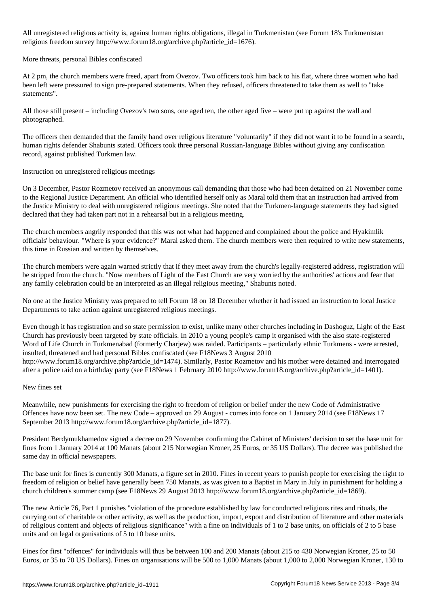All unregistered religious activity is, against human rights obligations, illegal in Turkmenistan (see Forum 18's Turkmenistan religious freedom survey http://www.forum18.org/archive.php?article\_id=1676).

## More threats, personal Bibles confiscated

At 2 pm, the church members were freed, apart from Ovezov. Two officers took him back to his flat, where three women who had been left were pressured to sign pre-prepared statements. When they refused, officers threatened to take them as well to "take statements".

All those still present – including Ovezov's two sons, one aged ten, the other aged five – were put up against the wall and photographed.

The officers then demanded that the family hand over religious literature "voluntarily" if they did not want it to be found in a search, human rights defender Shabunts stated. Officers took three personal Russian-language Bibles without giving any confiscation record, against published Turkmen law.

## Instruction on unregistered religious meetings

On 3 December, Pastor Rozmetov received an anonymous call demanding that those who had been detained on 21 November come to the Regional Justice Department. An official who identified herself only as Maral told them that an instruction had arrived from the Justice Ministry to deal with unregistered religious meetings. She noted that the Turkmen-language statements they had signed declared that they had taken part not in a rehearsal but in a religious meeting.

The church members angrily responded that this was not what had happened and complained about the police and Hyakimlik officials' behaviour. "Where is your evidence?" Maral asked them. The church members were then required to write new statements, this time in Russian and written by themselves.

The church members were again warned strictly that if they meet away from the church's legally-registered address, registration will be stripped from the church. "Now members of Light of the East Church are very worried by the authorities' actions and fear that any family celebration could be an interpreted as an illegal religious meeting," Shabunts noted.

No one at the Justice Ministry was prepared to tell Forum 18 on 18 December whether it had issued an instruction to local Justice Departments to take action against unregistered religious meetings.

Even though it has registration and so state permission to exist, unlike many other churches including in Dashoguz, Light of the East Church has previously been targeted by state officials. In 2010 a young people's camp it organised with the also state-registered Word of Life Church in Turkmenabad (formerly Charjew) was raided. Participants – particularly ethnic Turkmens - were arrested, insulted, threatened and had personal Bibles confiscated (see F18News 3 August 2010 http://www.forum18.org/archive.php?article\_id=1474). Similarly, Pastor Rozmetov and his mother were detained and interrogated after a police raid on a birthday party (see F18News 1 February 2010 http://www.forum18.org/archive.php?article\_id=1401).

#### New fines set

Meanwhile, new punishments for exercising the right to freedom of religion or belief under the new Code of Administrative Offences have now been set. The new Code – approved on 29 August - comes into force on 1 January 2014 (see F18News 17 September 2013 http://www.forum18.org/archive.php?article\_id=1877).

President Berdymukhamedov signed a decree on 29 November confirming the Cabinet of Ministers' decision to set the base unit for fines from 1 January 2014 at 100 Manats (about 215 Norwegian Kroner, 25 Euros, or 35 US Dollars). The decree was published the same day in official newspapers.

The base unit for fines is currently 300 Manats, a figure set in 2010. Fines in recent years to punish people for exercising the right to freedom of religion or belief have generally been 750 Manats, as was given to a Baptist in Mary in July in punishment for holding a church children's summer camp (see F18News 29 August 2013 http://www.forum18.org/archive.php?article\_id=1869).

The new Article 76, Part 1 punishes "violation of the procedure established by law for conducted religious rites and rituals, the carrying out of charitable or other activity, as well as the production, import, export and distribution of literature and other materials of religious content and objects of religious significance" with a fine on individuals of 1 to 2 base units, on officials of 2 to 5 base units and on legal organisations of 5 to 10 base units.

Fines for first "offences" for individuals will thus be between 100 and 200 Manats (about 215 to 430 Norwegian Kroner, 25 to 50 Euros, or 35 to 70 US Dollars). Fines on organisations will be 500 to 1,000 Manats (about 1,000 to 2,000 Norwegian Kroner, 130 to